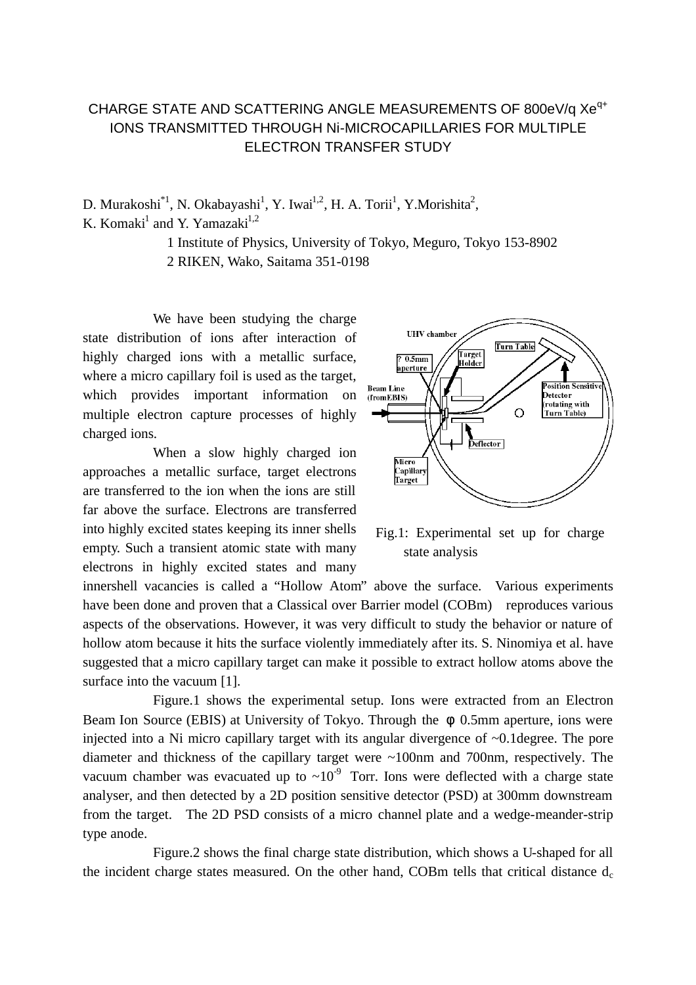## CHARGE STATE AND SCATTERING ANGLE MEASUREMENTS OF 800eV/q Xe<sup>q+</sup> IONS TRANSMITTED THROUGH Ni-MICROCAPILLARIES FOR MULTIPLE ELECTRON TRANSFER STUDY

D. Murakoshi<sup>\*1</sup>, N. Okabayashi<sup>1</sup>, Y. Iwai<sup>1,2</sup>, H. A. Torii<sup>1</sup>, Y. Morishita<sup>2</sup>, K. Komaki<sup>1</sup> and Y. Yamazaki<sup>1,2</sup>

1 Institute of Physics, University of Tokyo, Meguro, Tokyo 153-8902

2 RIKEN, Wako, Saitama 351-0198

We have been studying the charge state distribution of ions after interaction of highly charged ions with a metallic surface, where a micro capillary foil is used as the target, which provides important information on multiple electron capture processes of highly charged ions.

When a slow highly charged ion approaches a metallic surface, target electrons are transferred to the ion when the ions are still far above the surface. Electrons are transferred into highly excited states keeping its inner shells empty. Such a transient atomic state with many electrons in highly excited states and many



Fig.1: Experimental set up for charge state analysis

innershell vacancies is called a "Hollow Atom" above the surface. Various experiments have been done and proven that a Classical over Barrier model (COBm) reproduces various aspects of the observations. However, it was very difficult to study the behavior or nature of hollow atom because it hits the surface violently immediately after its. S. Ninomiya et al. have suggested that a micro capillary target can make it possible to extract hollow atoms above the surface into the vacuum [1].

Figure.1 shows the experimental setup. Ions were extracted from an Electron Beam Ion Source (EBIS) at University of Tokyo. Through the 0.5mm aperture, ions were injected into a Ni micro capillary target with its angular divergence of ~0.1degree. The pore diameter and thickness of the capillary target were ~100nm and 700nm, respectively. The vacuum chamber was evacuated up to  $\sim 10^{-9}$  Torr. Ions were deflected with a charge state analyser, and then detected by a 2D position sensitive detector (PSD) at 300mm downstream from the target. The 2D PSD consists of a micro channel plate and a wedge-meander-strip type anode.

Figure.2 shows the final charge state distribution, which shows a U-shaped for all the incident charge states measured. On the other hand, COBm tells that critical distance  $d_c$